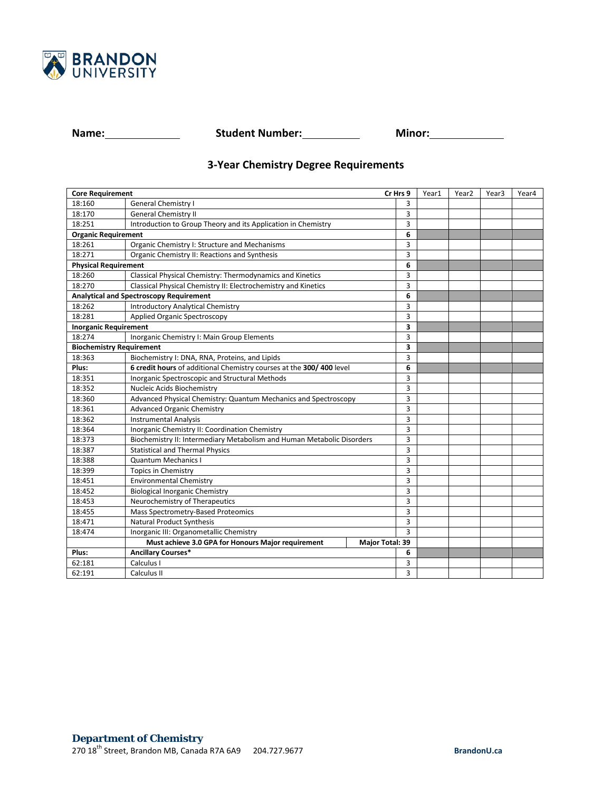

**Name: Name: Student Number: Minor: Minor: Minor:** 

## **3-Year Chemistry Degree Requirements**

| <b>Core Requirement</b><br>Cr Hrs 9            |                                                                        |                 | Year1 | Year <sub>2</sub> | Year <sub>3</sub> | Year4 |  |
|------------------------------------------------|------------------------------------------------------------------------|-----------------|-------|-------------------|-------------------|-------|--|
| 18:160                                         | <b>General Chemistry I</b>                                             |                 | 3     |                   |                   |       |  |
| 18:170                                         | <b>General Chemistry II</b>                                            |                 | 3     |                   |                   |       |  |
| 18:251                                         | Introduction to Group Theory and its Application in Chemistry          |                 | 3     |                   |                   |       |  |
| <b>Organic Requirement</b>                     |                                                                        |                 | 6     |                   |                   |       |  |
| 18:261                                         | Organic Chemistry I: Structure and Mechanisms                          |                 | 3     |                   |                   |       |  |
| 18:271                                         | Organic Chemistry II: Reactions and Synthesis                          |                 | 3     |                   |                   |       |  |
| <b>Physical Requirement</b>                    |                                                                        | 6               |       |                   |                   |       |  |
| 18:260                                         | Classical Physical Chemistry: Thermodynamics and Kinetics              |                 | 3     |                   |                   |       |  |
| 18:270                                         | Classical Physical Chemistry II: Electrochemistry and Kinetics         |                 | 3     |                   |                   |       |  |
| <b>Analytical and Spectroscopy Requirement</b> |                                                                        |                 | 6     |                   |                   |       |  |
| 18:262                                         | <b>Introductory Analytical Chemistry</b>                               |                 | 3     |                   |                   |       |  |
| 18:281                                         | Applied Organic Spectroscopy                                           |                 | 3     |                   |                   |       |  |
| <b>Inorganic Requirement</b>                   |                                                                        |                 | 3     |                   |                   |       |  |
| 18:274                                         | Inorganic Chemistry I: Main Group Elements                             |                 | 3     |                   |                   |       |  |
| <b>Biochemistry Requirement</b>                |                                                                        |                 | 3     |                   |                   |       |  |
| 18:363                                         | Biochemistry I: DNA, RNA, Proteins, and Lipids                         |                 | 3     |                   |                   |       |  |
| Plus:                                          | 6 credit hours of additional Chemistry courses at the 300/400 level    |                 | 6     |                   |                   |       |  |
| 18:351                                         | Inorganic Spectroscopic and Structural Methods                         |                 | 3     |                   |                   |       |  |
| 18:352                                         | Nucleic Acids Biochemistry                                             |                 | 3     |                   |                   |       |  |
| 18:360                                         | Advanced Physical Chemistry: Quantum Mechanics and Spectroscopy        |                 | 3     |                   |                   |       |  |
| 18:361                                         | <b>Advanced Organic Chemistry</b>                                      |                 | 3     |                   |                   |       |  |
| 18:362                                         | <b>Instrumental Analysis</b>                                           |                 | 3     |                   |                   |       |  |
| 18:364                                         | Inorganic Chemistry II: Coordination Chemistry                         |                 | 3     |                   |                   |       |  |
| 18:373                                         | Biochemistry II: Intermediary Metabolism and Human Metabolic Disorders |                 | 3     |                   |                   |       |  |
| 18:387                                         | <b>Statistical and Thermal Physics</b>                                 |                 | 3     |                   |                   |       |  |
| 18:388                                         | <b>Quantum Mechanics I</b>                                             |                 | 3     |                   |                   |       |  |
| 18:399                                         | <b>Topics in Chemistry</b>                                             |                 | 3     |                   |                   |       |  |
| 18:451                                         | <b>Environmental Chemistry</b>                                         |                 | 3     |                   |                   |       |  |
| 18:452                                         | <b>Biological Inorganic Chemistry</b>                                  |                 | 3     |                   |                   |       |  |
| 18:453                                         | Neurochemistry of Therapeutics                                         |                 | 3     |                   |                   |       |  |
| 18:455                                         | Mass Spectrometry-Based Proteomics                                     |                 | 3     |                   |                   |       |  |
| 18:471                                         | <b>Natural Product Synthesis</b>                                       |                 | 3     |                   |                   |       |  |
| 18:474                                         | Inorganic III: Organometallic Chemistry                                |                 | 3     |                   |                   |       |  |
|                                                | Must achieve 3.0 GPA for Honours Major requirement                     | Major Total: 39 |       |                   |                   |       |  |
| Plus:                                          | <b>Ancillary Courses*</b>                                              |                 | 6     |                   |                   |       |  |
| 62:181                                         | Calculus I                                                             |                 | 3     |                   |                   |       |  |
| 62:191                                         | Calculus II                                                            |                 | 3     |                   |                   |       |  |